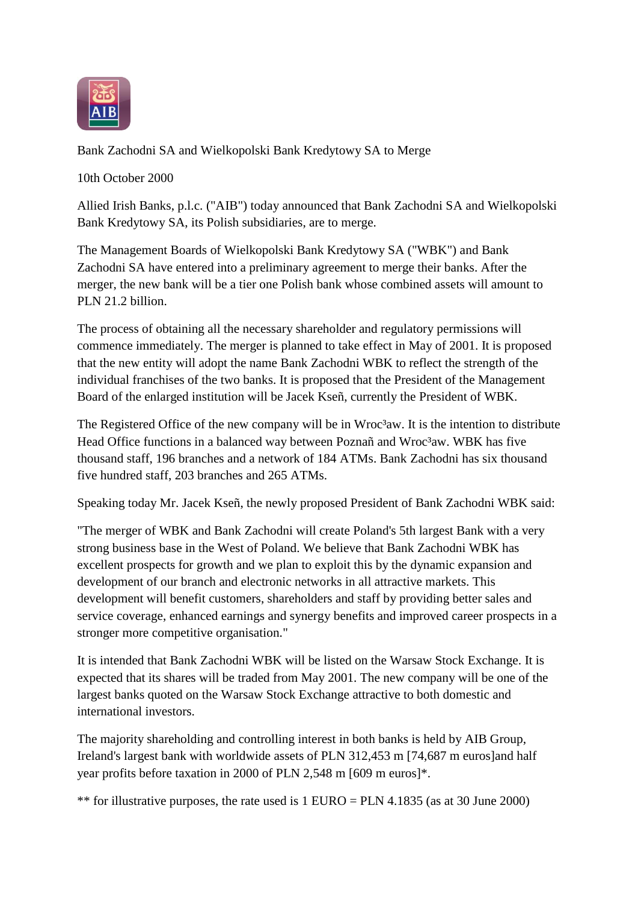

Bank Zachodni SA and Wielkopolski Bank Kredytowy SA to Merge

10th October 2000

Allied Irish Banks, p.l.c. ("AIB") today announced that Bank Zachodni SA and Wielkopolski Bank Kredytowy SA, its Polish subsidiaries, are to merge.

The Management Boards of Wielkopolski Bank Kredytowy SA ("WBK") and Bank Zachodni SA have entered into a preliminary agreement to merge their banks. After the merger, the new bank will be a tier one Polish bank whose combined assets will amount to PLN 21.2 billion.

The process of obtaining all the necessary shareholder and regulatory permissions will commence immediately. The merger is planned to take effect in May of 2001. It is proposed that the new entity will adopt the name Bank Zachodni WBK to reflect the strength of the individual franchises of the two banks. It is proposed that the President of the Management Board of the enlarged institution will be Jacek Kseñ, currently the President of WBK.

The Registered Office of the new company will be in Wroc<sup>3</sup>aw. It is the intention to distribute Head Office functions in a balanced way between Poznañ and Wroc<sup>3</sup>aw. WBK has five thousand staff, 196 branches and a network of 184 ATMs. Bank Zachodni has six thousand five hundred staff, 203 branches and 265 ATMs.

Speaking today Mr. Jacek Kseñ, the newly proposed President of Bank Zachodni WBK said:

"The merger of WBK and Bank Zachodni will create Poland's 5th largest Bank with a very strong business base in the West of Poland. We believe that Bank Zachodni WBK has excellent prospects for growth and we plan to exploit this by the dynamic expansion and development of our branch and electronic networks in all attractive markets. This development will benefit customers, shareholders and staff by providing better sales and service coverage, enhanced earnings and synergy benefits and improved career prospects in a stronger more competitive organisation."

It is intended that Bank Zachodni WBK will be listed on the Warsaw Stock Exchange. It is expected that its shares will be traded from May 2001. The new company will be one of the largest banks quoted on the Warsaw Stock Exchange attractive to both domestic and international investors.

The majority shareholding and controlling interest in both banks is held by AIB Group, Ireland's largest bank with worldwide assets of PLN 312,453 m [74,687 m euros]and half year profits before taxation in 2000 of PLN 2,548 m [609 m euros]\*.

\*\* for illustrative purposes, the rate used is  $1$  EURO = PLN 4.1835 (as at 30 June 2000)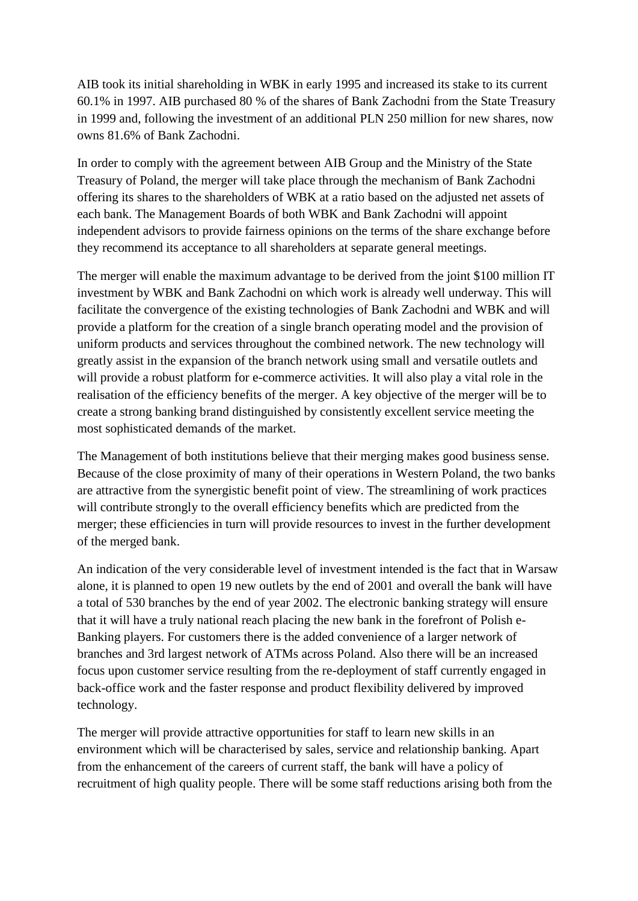AIB took its initial shareholding in WBK in early 1995 and increased its stake to its current 60.1% in 1997. AIB purchased 80 % of the shares of Bank Zachodni from the State Treasury in 1999 and, following the investment of an additional PLN 250 million for new shares, now owns 81.6% of Bank Zachodni.

In order to comply with the agreement between AIB Group and the Ministry of the State Treasury of Poland, the merger will take place through the mechanism of Bank Zachodni offering its shares to the shareholders of WBK at a ratio based on the adjusted net assets of each bank. The Management Boards of both WBK and Bank Zachodni will appoint independent advisors to provide fairness opinions on the terms of the share exchange before they recommend its acceptance to all shareholders at separate general meetings.

The merger will enable the maximum advantage to be derived from the joint \$100 million IT investment by WBK and Bank Zachodni on which work is already well underway. This will facilitate the convergence of the existing technologies of Bank Zachodni and WBK and will provide a platform for the creation of a single branch operating model and the provision of uniform products and services throughout the combined network. The new technology will greatly assist in the expansion of the branch network using small and versatile outlets and will provide a robust platform for e-commerce activities. It will also play a vital role in the realisation of the efficiency benefits of the merger. A key objective of the merger will be to create a strong banking brand distinguished by consistently excellent service meeting the most sophisticated demands of the market.

The Management of both institutions believe that their merging makes good business sense. Because of the close proximity of many of their operations in Western Poland, the two banks are attractive from the synergistic benefit point of view. The streamlining of work practices will contribute strongly to the overall efficiency benefits which are predicted from the merger; these efficiencies in turn will provide resources to invest in the further development of the merged bank.

An indication of the very considerable level of investment intended is the fact that in Warsaw alone, it is planned to open 19 new outlets by the end of 2001 and overall the bank will have a total of 530 branches by the end of year 2002. The electronic banking strategy will ensure that it will have a truly national reach placing the new bank in the forefront of Polish e-Banking players. For customers there is the added convenience of a larger network of branches and 3rd largest network of ATMs across Poland. Also there will be an increased focus upon customer service resulting from the re-deployment of staff currently engaged in back-office work and the faster response and product flexibility delivered by improved technology.

The merger will provide attractive opportunities for staff to learn new skills in an environment which will be characterised by sales, service and relationship banking. Apart from the enhancement of the careers of current staff, the bank will have a policy of recruitment of high quality people. There will be some staff reductions arising both from the